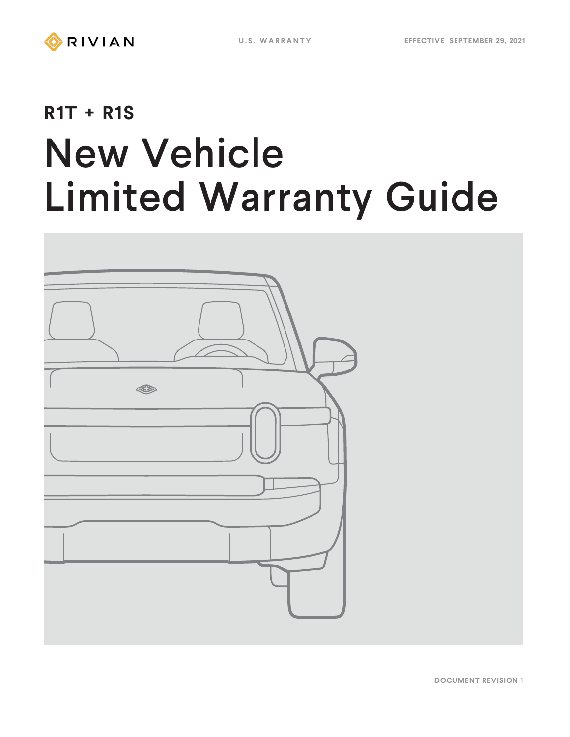# **R1T + R1S** New Vehicle Limited Warranty Guide



**DOCUMENT REVISION** 1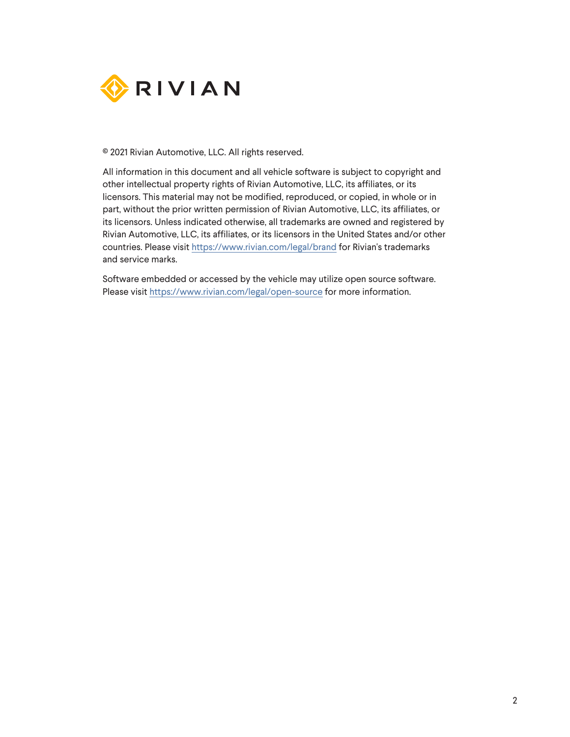

© 2021 Rivian Automotive, LLC. All rights reserved.

All information in this document and all vehicle software is subject to copyright and other intellectual property rights of Rivian Automotive, LLC, its affiliates, or its licensors. This material may not be modified, reproduced, or copied, in whole or in part, without the prior written permission of Rivian Automotive, LLC, its affiliates, or its licensors. Unless indicated otherwise, all trademarks are owned and registered by Rivian Automotive, LLC, its affiliates, or its licensors in the United States and/or other countries. Please visit <https://www.rivian.com/legal/brand> for Rivian's trademarks and service marks.

Software embedded or accessed by the vehicle may utilize open source software. Please visit <https://www.rivian.com/legal/open-source> for more information.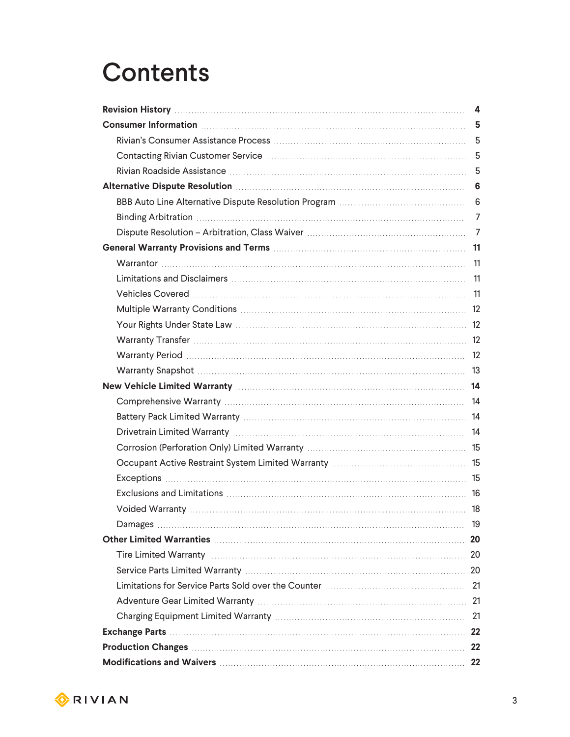### **Contents**

|                                                   | 4              |  |  |
|---------------------------------------------------|----------------|--|--|
|                                                   |                |  |  |
|                                                   |                |  |  |
|                                                   |                |  |  |
|                                                   | 5              |  |  |
|                                                   | 6              |  |  |
|                                                   | 6              |  |  |
|                                                   | 7              |  |  |
|                                                   | $\overline{7}$ |  |  |
|                                                   |                |  |  |
|                                                   |                |  |  |
|                                                   |                |  |  |
|                                                   |                |  |  |
|                                                   |                |  |  |
|                                                   |                |  |  |
|                                                   |                |  |  |
|                                                   |                |  |  |
|                                                   |                |  |  |
|                                                   |                |  |  |
|                                                   |                |  |  |
|                                                   |                |  |  |
|                                                   |                |  |  |
|                                                   |                |  |  |
|                                                   |                |  |  |
|                                                   |                |  |  |
|                                                   |                |  |  |
|                                                   |                |  |  |
|                                                   |                |  |  |
|                                                   |                |  |  |
|                                                   |                |  |  |
|                                                   |                |  |  |
|                                                   |                |  |  |
|                                                   |                |  |  |
|                                                   |                |  |  |
|                                                   | 22             |  |  |
|                                                   |                |  |  |
| Modifications and Waivers <b>Modifications</b> 22 |                |  |  |

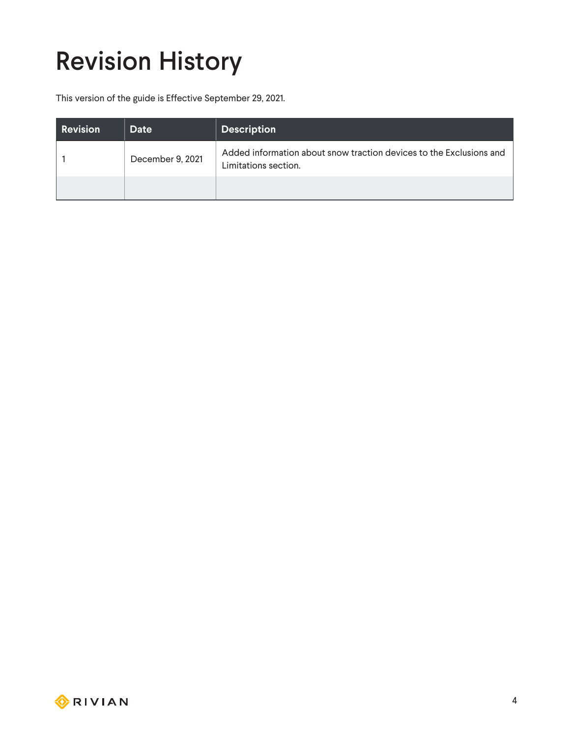# <span id="page-3-0"></span>Revision History

This version of the guide is Effective September 29, 2021.

| <b>Revision</b> | Date             | <b>Description</b>                                                                          |
|-----------------|------------------|---------------------------------------------------------------------------------------------|
|                 | December 9, 2021 | Added information about snow traction devices to the Exclusions and<br>Limitations section. |
|                 |                  |                                                                                             |

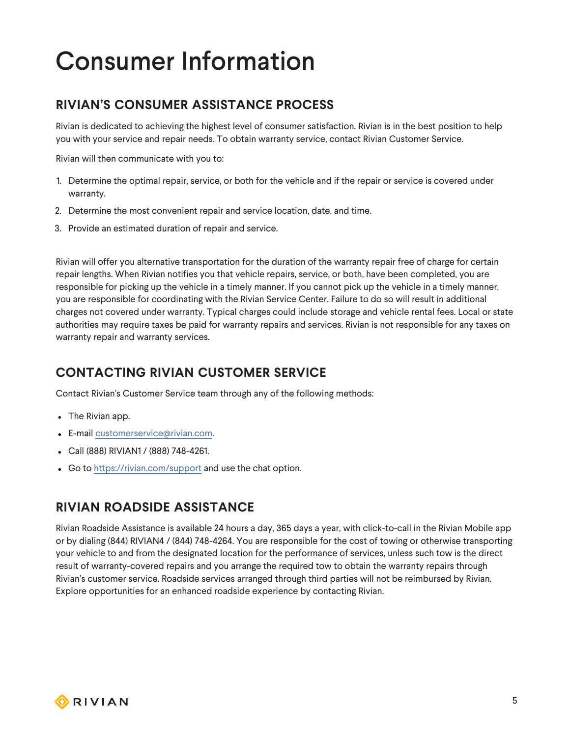### <span id="page-4-0"></span>Consumer Information

#### <span id="page-4-1"></span>**RIVIAN'S CONSUMER ASSISTANCE PROCESS**

Rivian is dedicated to achieving the highest level of consumer satisfaction. Rivian is in the best position to help you with your service and repair needs. To obtain warranty service, contact Rivian Customer Service.

Rivian will then communicate with you to:

- 1. Determine the optimal repair, service, or both for the vehicle and if the repair or service is covered under warranty.
- 2. Determine the most convenient repair and service location, date, and time.
- 3. Provide an estimated duration of repair and service.

Rivian will offer you alternative transportation for the duration of the warranty repair free of charge for certain repair lengths. When Rivian notifies you that vehicle repairs, service, or both, have been completed, you are responsible for picking up the vehicle in a timely manner. If you cannot pick up the vehicle in a timely manner, you are responsible for coordinating with the Rivian Service Center. Failure to do so will result in additional charges not covered under warranty. Typical charges could include storage and vehicle rental fees. Local or state authorities may require taxes be paid for warranty repairs and services. Rivian is not responsible for any taxes on warranty repair and warranty services.

#### <span id="page-4-2"></span>**CONTACTING RIVIAN CUSTOMER SERVICE**

Contact Rivian's Customer Service team through any of the following methods:

- The Rivian app.
- E-mail [customerservice@rivian.com](mailto:customerservice@rivian.com).
- <sup>l</sup> Call (888) RIVIAN1 / (888) 748-4261.
- Go to <https://rivian.com/support> and use the chat option.

#### <span id="page-4-3"></span>**RIVIAN ROADSIDE ASSISTANCE**

Rivian Roadside Assistance is available 24 hours a day, 365 days a year, with click-to-call in the Rivian Mobile app or by dialing (844) RIVIAN4 / (844) 748-4264. You are responsible for the cost of towing or otherwise transporting your vehicle to and from the designated location for the performance of services, unless such tow is the direct result of warranty-covered repairs and you arrange the required tow to obtain the warranty repairs through Rivian's customer service. Roadside services arranged through third parties will not be reimbursed by Rivian. Explore opportunities for an enhanced roadside experience by contacting Rivian.

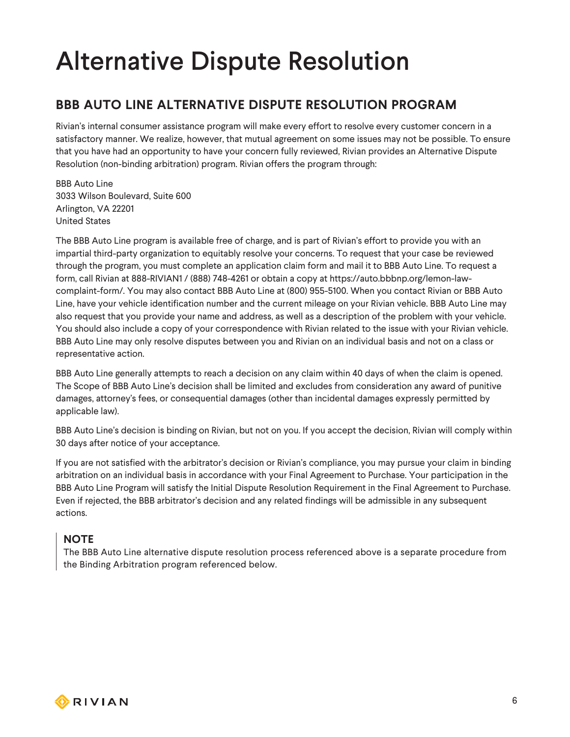### <span id="page-5-0"></span>Alternative Dispute Resolution

#### <span id="page-5-1"></span>**BBB AUTO LINE ALTERNATIVE DISPUTE RESOLUTION PROGRAM**

Rivian's internal consumer assistance program will make every effort to resolve every customer concern in a satisfactory manner. We realize, however, that mutual agreement on some issues may not be possible. To ensure that you have had an opportunity to have your concern fully reviewed, Rivian provides an Alternative Dispute Resolution (non-binding arbitration) program. Rivian offers the program through:

BBB Auto Line 3033 Wilson Boulevard, Suite 600 Arlington, VA 22201 United States

The BBB Auto Line program is available free of charge, and is part of Rivian's effort to provide you with an impartial third-party organization to equitably resolve your concerns. To request that your case be reviewed through the program, you must complete an application claim form and mail it to BBB Auto Line. To request a form, call Rivian at 888-RIVIAN1 / (888) 748-4261 or obtain a copy at https://auto.bbbnp.org/lemon-lawcomplaint-form/. You may also contact BBB Auto Line at (800) 955-5100. When you contact Rivian or BBB Auto Line, have your vehicle identification number and the current mileage on your Rivian vehicle. BBB Auto Line may also request that you provide your name and address, as well as a description of the problem with your vehicle. You should also include a copy of your correspondence with Rivian related to the issue with your Rivian vehicle. BBB Auto Line may only resolve disputes between you and Rivian on an individual basis and not on a class or representative action.

BBB Auto Line generally attempts to reach a decision on any claim within 40 days of when the claim is opened. The Scope of BBB Auto Line's decision shall be limited and excludes from consideration any award of punitive damages, attorney's fees, or consequential damages (other than incidental damages expressly permitted by applicable law).

BBB Auto Line's decision is binding on Rivian, but not on you. If you accept the decision, Rivian will comply within 30 days after notice of your acceptance.

If you are not satisfied with the arbitrator's decision or Rivian's compliance, you may pursue your claim in binding arbitration on an individual basis in accordance with your Final Agreement to Purchase. Your participation in the BBB Auto Line Program will satisfy the Initial Dispute Resolution Requirement in the Final Agreement to Purchase. Even if rejected, the BBB arbitrator's decision and any related findings will be admissible in any subsequent actions.

#### **NOTE**

The BBB Auto Line alternative dispute resolution process referenced above is a separate procedure from the Binding Arbitration program referenced below.

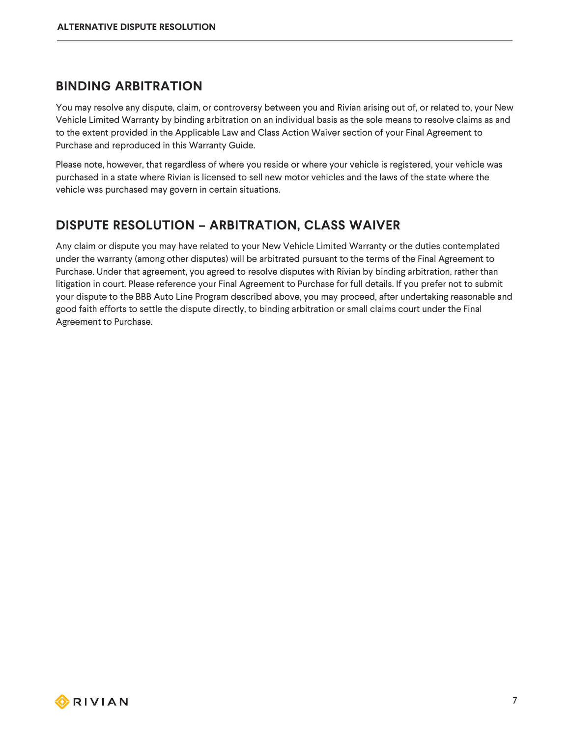#### <span id="page-6-0"></span>**BINDING ARBITRATION**

You may resolve any dispute, claim, or controversy between you and Rivian arising out of, or related to, your New Vehicle Limited Warranty by binding arbitration on an individual basis as the sole means to resolve claims as and to the extent provided in the Applicable Law and Class Action Waiver section of your Final Agreement to Purchase and reproduced in this Warranty Guide.

Please note, however, that regardless of where you reside or where your vehicle is registered, your vehicle was purchased in a state where Rivian is licensed to sell new motor vehicles and the laws of the state where the vehicle was purchased may govern in certain situations.

#### <span id="page-6-1"></span>**DISPUTE RESOLUTION – ARBITRATION, CLASS WAIVER**

Any claim or dispute you may have related to your New Vehicle Limited Warranty or the duties contemplated under the warranty (among other disputes) will be arbitrated pursuant to the terms of the Final Agreement to Purchase. Under that agreement, you agreed to resolve disputes with Rivian by binding arbitration, rather than litigation in court. Please reference your Final Agreement to Purchase for full details. If you prefer not to submit your dispute to the BBB Auto Line Program described above, you may proceed, after undertaking reasonable and good faith efforts to settle the dispute directly, to binding arbitration or small claims court under the Final Agreement to Purchase.

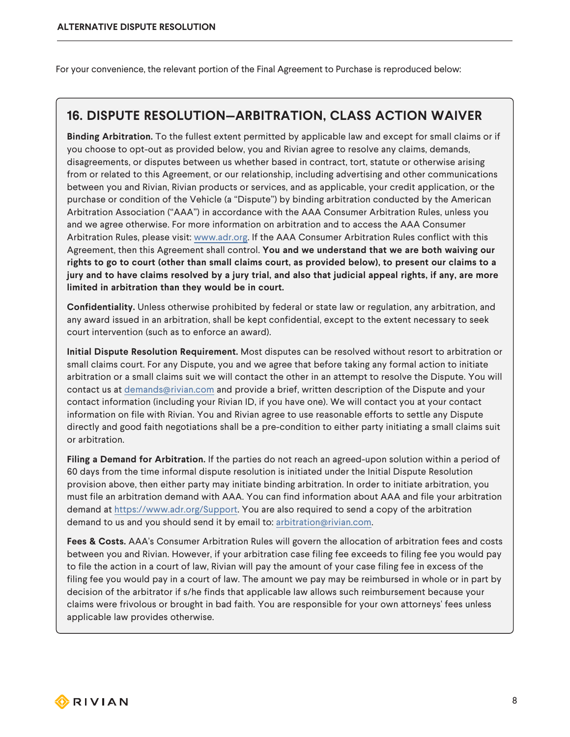For your convenience, the relevant portion of the Final Agreement to Purchase is reproduced below:

#### **16. DISPUTE RESOLUTION—ARBITRATION, CLASS ACTION WAIVER**

**Binding Arbitration.** To the fullest extent permitted by applicable law and except for small claims or if you choose to opt-out as provided below, you and Rivian agree to resolve any claims, demands, disagreements, or disputes between us whether based in contract, tort, statute or otherwise arising from or related to this Agreement, or our relationship, including advertising and other communications between you and Rivian, Rivian products or services, and as applicable, your credit application, or the purchase or condition of the Vehicle (a "Dispute") by binding arbitration conducted by the American Arbitration Association ("AAA") in accordance with the AAA Consumer Arbitration Rules, unless you and we agree otherwise. For more information on arbitration and to access the AAA Consumer Arbitration Rules, please visit: [www.adr.org](http://www.adr.org/). If the AAA Consumer Arbitration Rules conflict with this Agreement, then this Agreement shall control. **You and we understand that we are both waiving our** rights to go to court (other than small claims court, as provided below), to present our claims to a jury and to have claims resolved by a jury trial, and also that judicial appeal rights, if any, are more **limited in arbitration than they would be in court.**

**Confidentiality.** Unless otherwise prohibited by federal or state law or regulation, any arbitration, and any award issued in an arbitration, shall be kept confidential, except to the extent necessary to seek court intervention (such as to enforce an award).

**Initial Dispute Resolution Requirement.** Most disputes can be resolved without resort to arbitration or small claims court. For any Dispute, you and we agree that before taking any formal action to initiate arbitration or a small claims suit we will contact the other in an attempt to resolve the Dispute. You will contact us at [demands@rivian.com](mailto:arbitration@rivian.com) and provide a brief, written description of the Dispute and your contact information (including your Rivian ID, if you have one). We will contact you at your contact information on file with Rivian. You and Rivian agree to use reasonable efforts to settle any Dispute directly and good faith negotiations shall be a pre-condition to either party initiating a small claims suit or arbitration.

**Filing a Demand for Arbitration.** If the parties do not reach an agreed-upon solution within a period of 60 days from the time informal dispute resolution is initiated under the Initial Dispute Resolution provision above, then either party may initiate binding arbitration. In order to initiate arbitration, you must file an arbitration demand with AAA. You can find information about AAA and file your arbitration demand at <https://www.adr.org/Support>. You are also required to send a copy of the arbitration demand to us and you should send it by email to: [arbitration@rivian.com](mailto:legal@rivian.com).

**Fees & Costs.** AAA's Consumer Arbitration Rules will govern the allocation of arbitration fees and costs between you and Rivian. However, if your arbitration case filing fee exceeds to filing fee you would pay to file the action in a court of law, Rivian will pay the amount of your case filing fee in excess of the filing fee you would pay in a court of law. The amount we pay may be reimbursed in whole or in part by decision of the arbitrator if s/he finds that applicable law allows such reimbursement because your claims were frivolous or brought in bad faith. You are responsible for your own attorneys' fees unless applicable law provides otherwise.

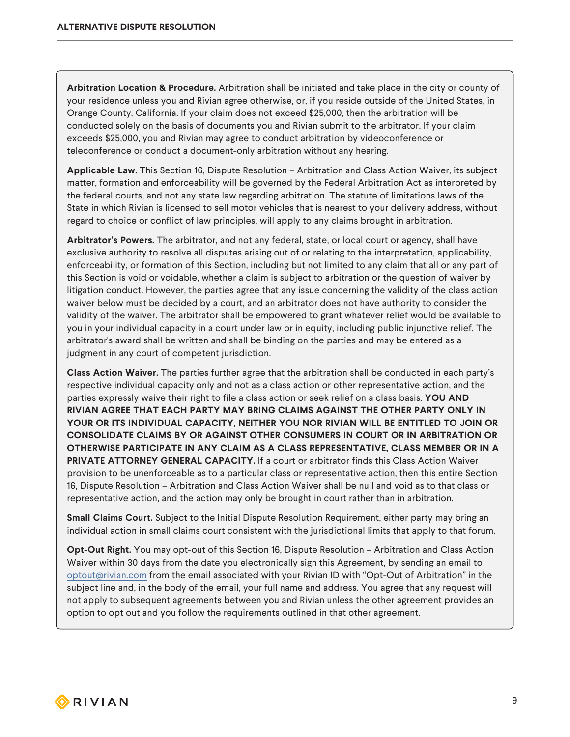**Arbitration Location & Procedure.** Arbitration shall be initiated and take place in the city or county of your residence unless you and Rivian agree otherwise, or, if you reside outside of the United States, in Orange County, California. If your claim does not exceed \$25,000, then the arbitration will be conducted solely on the basis of documents you and Rivian submit to the arbitrator. If your claim exceeds \$25,000, you and Rivian may agree to conduct arbitration by videoconference or teleconference or conduct a document-only arbitration without any hearing.

**Applicable Law.** This Section 16, Dispute Resolution – Arbitration and Class Action Waiver, its subject matter, formation and enforceability will be governed by the Federal Arbitration Act as interpreted by the federal courts, and not any state law regarding arbitration. The statute of limitations laws of the State in which Rivian is licensed to sell motor vehicles that is nearest to your delivery address, without regard to choice or conflict of law principles, will apply to any claims brought in arbitration.

**Arbitrator's Powers.** The arbitrator, and not any federal, state, or local court or agency, shall have exclusive authority to resolve all disputes arising out of or relating to the interpretation, applicability, enforceability, or formation of this Section, including but not limited to any claim that all or any part of this Section is void or voidable, whether a claim is subject to arbitration or the question of waiver by litigation conduct. However, the parties agree that any issue concerning the validity of the class action waiver below must be decided by a court, and an arbitrator does not have authority to consider the validity of the waiver. The arbitrator shall be empowered to grant whatever relief would be available to you in your individual capacity in a court under law or in equity, including public injunctive relief. The arbitrator's award shall be written and shall be binding on the parties and may be entered as a judgment in any court of competent jurisdiction.

**Class Action Waiver.** The parties further agree that the arbitration shall be conducted in each party's respective individual capacity only and not as a class action or other representative action, and the parties expressly waive their right to file a class action or seek relief on a class basis. **YOU AND RIVIAN AGREE THAT EACH PARTY MAY BRING CLAIMS AGAINST THE OTHER PARTY ONLY IN YOUR OR ITS INDIVIDUAL CAPACITY, NEITHER YOU NOR RIVIAN WILL BE ENTITLED TO JOIN OR CONSOLIDATE CLAIMS BY OR AGAINST OTHER CONSUMERS IN COURT OR IN ARBITRATION OR OTHERWISE PARTICIPATE IN ANY CLAIM AS A CLASS REPRESENTATIVE, CLASS MEMBER OR IN A PRIVATE ATTORNEY GENERAL CAPACITY.** If a court or arbitrator finds this Class Action Waiver provision to be unenforceable as to a particular class or representative action, then this entire Section 16, Dispute Resolution – Arbitration and Class Action Waiver shall be null and void as to that class or representative action, and the action may only be brought in court rather than in arbitration.

**Small Claims Court.** Subject to the Initial Dispute Resolution Requirement, either party may bring an individual action in small claims court consistent with the jurisdictional limits that apply to that forum.

**Opt-Out Right.** You may opt-out of this Section 16, Dispute Resolution – Arbitration and Class Action Waiver within 30 days from the date you electronically sign this Agreement, by sending an email to [optout@rivian.com](mailto:arbitration@rivian.com) from the email associated with your Rivian ID with "Opt-Out of Arbitration" in the subject line and, in the body of the email, your full name and address. You agree that any request will not apply to subsequent agreements between you and Rivian unless the other agreement provides an option to opt out and you follow the requirements outlined in that other agreement.

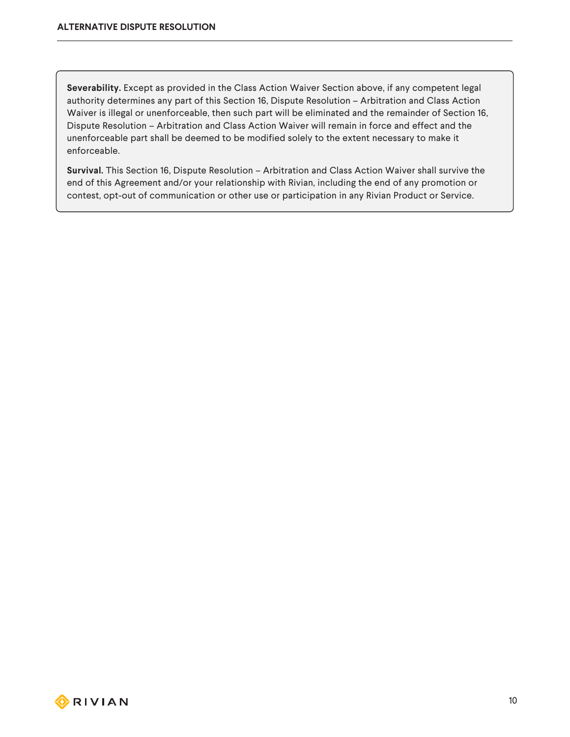**Severability.** Except as provided in the Class Action Waiver Section above, if any competent legal authority determines any part of this Section 16, Dispute Resolution – Arbitration and Class Action Waiver is illegal or unenforceable, then such part will be eliminated and the remainder of Section 16, Dispute Resolution – Arbitration and Class Action Waiver will remain in force and effect and the unenforceable part shall be deemed to be modified solely to the extent necessary to make it enforceable.

**Survival.** This Section 16, Dispute Resolution – Arbitration and Class Action Waiver shall survive the end of this Agreement and/or your relationship with Rivian, including the end of any promotion or contest, opt-out of communication or other use or participation in any Rivian Product or Service.



10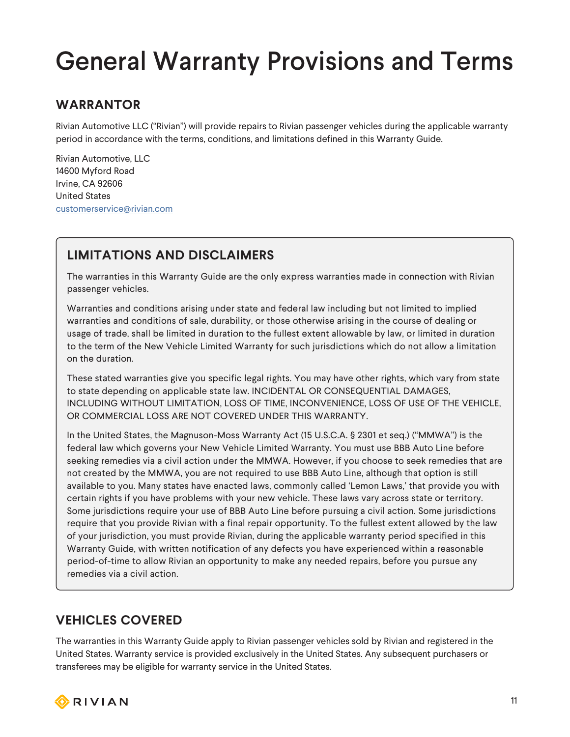### <span id="page-10-0"></span>General Warranty Provisions and Terms

#### <span id="page-10-1"></span>**WARRANTOR**

Rivian Automotive LLC ("Rivian") will provide repairs to Rivian passenger vehicles during the applicable warranty period in accordance with the terms, conditions, and limitations defined in this Warranty Guide.

Rivian Automotive, LLC 14600 Myford Road Irvine, CA 92606 United States [customerservice@rivian.com](mailto:customerservice@rivian.com)

#### <span id="page-10-2"></span>**LIMITATIONS AND DISCLAIMERS**

The warranties in this Warranty Guide are the only express warranties made in connection with Rivian passenger vehicles.

Warranties and conditions arising under state and federal law including but not limited to implied warranties and conditions of sale, durability, or those otherwise arising in the course of dealing or usage of trade, shall be limited in duration to the fullest extent allowable by law, or limited in duration to the term of the New Vehicle Limited Warranty for such jurisdictions which do not allow a limitation on the duration.

These stated warranties give you specific legal rights. You may have other rights, which vary from state to state depending on applicable state law. INCIDENTAL OR CONSEQUENTIAL DAMAGES, INCLUDING WITHOUT LIMITATION, LOSS OF TIME, INCONVENIENCE, LOSS OF USE OF THE VEHICLE, OR COMMERCIAL LOSS ARE NOT COVERED UNDER THIS WARRANTY.

In the United States, the Magnuson-Moss Warranty Act (15 U.S.C.A. § 2301 et seq.) ("MMWA") is the federal law which governs your New Vehicle Limited Warranty. You must use BBB Auto Line before seeking remedies via a civil action under the MMWA. However, if you choose to seek remedies that are not created by the MMWA, you are not required to use BBB Auto Line, although that option is still available to you. Many states have enacted laws, commonly called 'Lemon Laws,' that provide you with certain rights if you have problems with your new vehicle. These laws vary across state or territory. Some jurisdictions require your use of BBB Auto Line before pursuing a civil action. Some jurisdictions require that you provide Rivian with a final repair opportunity. To the fullest extent allowed by the law of your jurisdiction, you must provide Rivian, during the applicable warranty period specified in this Warranty Guide, with written notification of any defects you have experienced within a reasonable period-of-time to allow Rivian an opportunity to make any needed repairs, before you pursue any remedies via a civil action.

#### <span id="page-10-3"></span>**VEHICLES COVERED**

The warranties in this Warranty Guide apply to Rivian passenger vehicles sold by Rivian and registered in the United States. Warranty service is provided exclusively in the United States. Any subsequent purchasers or transferees may be eligible for warranty service in the United States.

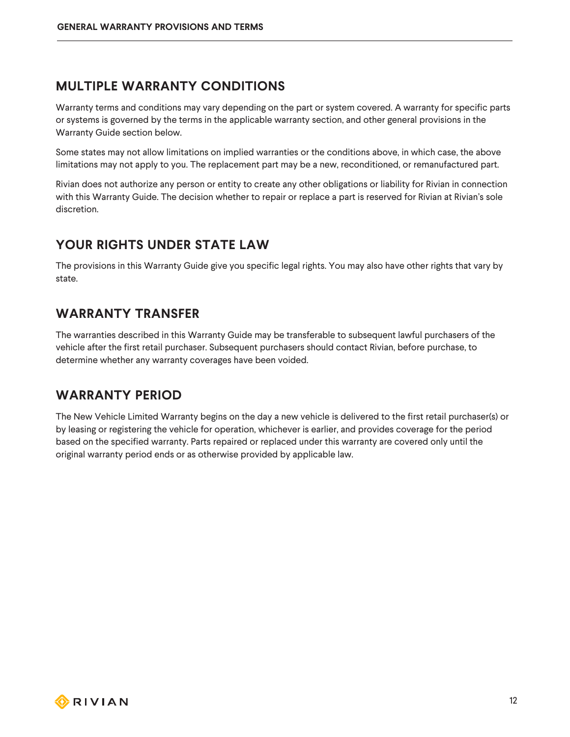#### <span id="page-11-0"></span>**MULTIPLE WARRANTY CONDITIONS**

Warranty terms and conditions may vary depending on the part or system covered. A warranty for specific parts or systems is governed by the terms in the applicable warranty section, and other general provisions in the Warranty Guide section below.

Some states may not allow limitations on implied warranties or the conditions above, in which case, the above limitations may not apply to you. The replacement part may be a new, reconditioned, or remanufactured part.

Rivian does not authorize any person or entity to create any other obligations or liability for Rivian in connection with this Warranty Guide. The decision whether to repair or replace a part is reserved for Rivian at Rivian's sole discretion.

#### <span id="page-11-1"></span>**YOUR RIGHTS UNDER STATE LAW**

The provisions in this Warranty Guide give you specific legal rights. You may also have other rights that vary by state.

#### <span id="page-11-2"></span>**WARRANTY TRANSFER**

The warranties described in this Warranty Guide may be transferable to subsequent lawful purchasers of the vehicle after the first retail purchaser. Subsequent purchasers should contact Rivian, before purchase, to determine whether any warranty coverages have been voided.

#### <span id="page-11-3"></span>**WARRANTY PERIOD**

The New Vehicle Limited Warranty begins on the day a new vehicle is delivered to the first retail purchaser(s) or by leasing or registering the vehicle for operation, whichever is earlier, and provides coverage for the period based on the specified warranty. Parts repaired or replaced under this warranty are covered only until the original warranty period ends or as otherwise provided by applicable law.

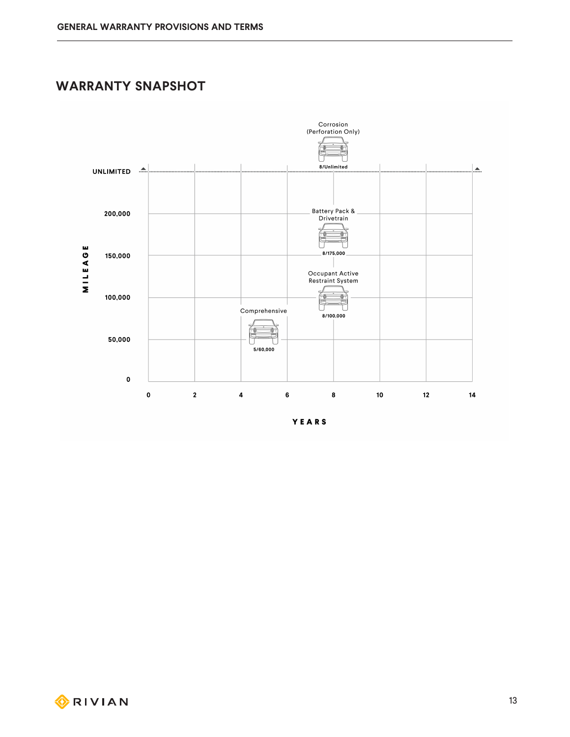#### <span id="page-12-0"></span>**WARRANTY SNAPSHOT**



YEARS

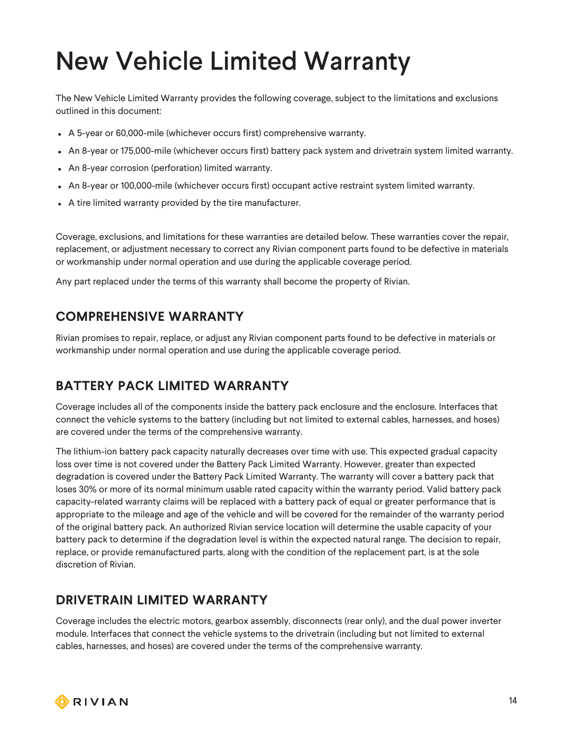# <span id="page-13-0"></span>New Vehicle Limited Warranty

The New Vehicle Limited Warranty provides the following coverage, subject to the limitations and exclusions outlined in this document:

- A 5-year or 60,000-mile (whichever occurs first) comprehensive warranty.
- An 8-year or 175,000-mile (whichever occurs first) battery pack system and drivetrain system limited warranty.
- An 8-year corrosion (perforation) limited warranty.
- An 8-year or 100,000-mile (whichever occurs first) occupant active restraint system limited warranty.
- A tire limited warranty provided by the tire manufacturer.

Coverage, exclusions, and limitations for these warranties are detailed below. These warranties cover the repair, replacement, or adjustment necessary to correct any Rivian component parts found to be defective in materials or workmanship under normal operation and use during the applicable coverage period.

Any part replaced under the terms of this warranty shall become the property of Rivian.

#### <span id="page-13-1"></span>**COMPREHENSIVE WARRANTY**

Rivian promises to repair, replace, or adjust any Rivian component parts found to be defective in materials or workmanship under normal operation and use during the applicable coverage period.

#### <span id="page-13-2"></span>**BATTERY PACK LIMITED WARRANTY**

Coverage includes all of the components inside the battery pack enclosure and the enclosure. Interfaces that connect the vehicle systems to the battery (including but not limited to external cables, harnesses, and hoses) are covered under the terms of the comprehensive warranty.

The lithium-ion battery pack capacity naturally decreases over time with use. This expected gradual capacity loss over time is not covered under the Battery Pack Limited Warranty. However, greater than expected degradation is covered under the Battery Pack Limited Warranty. The warranty will cover a battery pack that loses 30% or more of its normal minimum usable rated capacity within the warranty period. Valid battery pack capacity-related warranty claims will be replaced with a battery pack of equal or greater performance that is appropriate to the mileage and age of the vehicle and will be covered for the remainder of the warranty period of the original battery pack. An authorized Rivian service location will determine the usable capacity of your battery pack to determine if the degradation level is within the expected natural range. The decision to repair, replace, or provide remanufactured parts, along with the condition of the replacement part, is at the sole discretion of Rivian.

#### <span id="page-13-3"></span>**DRIVETRAIN LIMITED WARRANTY**

Coverage includes the electric motors, gearbox assembly, disconnects (rear only), and the dual power inverter module. Interfaces that connect the vehicle systems to the drivetrain (including but not limited to external cables, harnesses, and hoses) are covered under the terms of the comprehensive warranty.

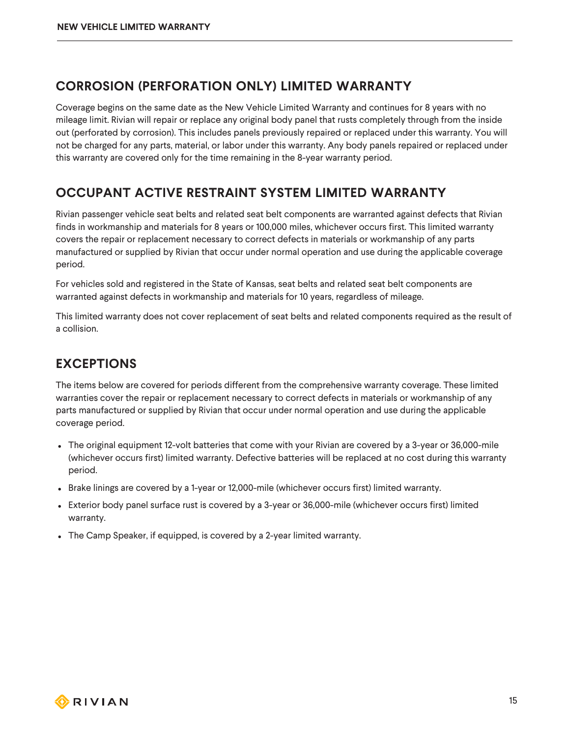#### <span id="page-14-0"></span>**CORROSION (PERFORATION ONLY) LIMITED WARRANTY**

Coverage begins on the same date as the New Vehicle Limited Warranty and continues for 8 years with no mileage limit. Rivian will repair or replace any original body panel that rusts completely through from the inside out (perforated by corrosion). This includes panels previously repaired or replaced under this warranty. You will not be charged for any parts, material, or labor under this warranty. Any body panels repaired or replaced under this warranty are covered only for the time remaining in the 8-year warranty period.

#### <span id="page-14-1"></span>**OCCUPANT ACTIVE RESTRAINT SYSTEM LIMITED WARRANTY**

Rivian passenger vehicle seat belts and related seat belt components are warranted against defects that Rivian finds in workmanship and materials for 8 years or 100,000 miles, whichever occurs first. This limited warranty covers the repair or replacement necessary to correct defects in materials or workmanship of any parts manufactured or supplied by Rivian that occur under normal operation and use during the applicable coverage period.

For vehicles sold and registered in the State of Kansas, seat belts and related seat belt components are warranted against defects in workmanship and materials for 10 years, regardless of mileage.

This limited warranty does not cover replacement of seat belts and related components required as the result of a collision.

#### <span id="page-14-2"></span>**EXCEPTIONS**

The items below are covered for periods different from the comprehensive warranty coverage. These limited warranties cover the repair or replacement necessary to correct defects in materials or workmanship of any parts manufactured or supplied by Rivian that occur under normal operation and use during the applicable coverage period.

- The original equipment 12-volt batteries that come with your Rivian are covered by a 3-year or 36,000-mile (whichever occurs first) limited warranty. Defective batteries will be replaced at no cost during this warranty period.
- Brake linings are covered by a 1-year or 12,000-mile (whichever occurs first) limited warranty.
- Exterior body panel surface rust is covered by a 3-year or 36,000-mile (whichever occurs first) limited warranty.
- The Camp Speaker, if equipped, is covered by a 2-year limited warranty.

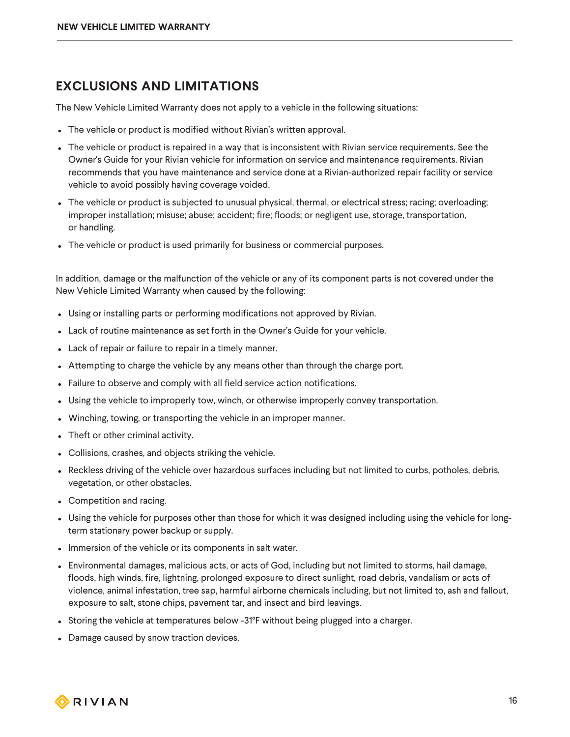#### <span id="page-15-0"></span>**EXCLUSIONS AND LIMITATIONS**

The New Vehicle Limited Warranty does not apply to a vehicle in the following situations:

- The vehicle or product is modified without Rivian's written approval.
- <sup>l</sup> The vehicle or product is repaired in a way that is inconsistent with Rivian service requirements. See the Owner's Guide for your Rivian vehicle for information on service and maintenance requirements. Rivian recommends that you have maintenance and service done at a Rivian-authorized repair facility or service vehicle to avoid possibly having coverage voided.
- <sup>l</sup> The vehicle or product is subjected to unusual physical, thermal, or electrical stress; racing; overloading; improper installation; misuse; abuse; accident; fire; floods; or negligent use, storage, transportation, or handling.
- The vehicle or product is used primarily for business or commercial purposes.

In addition, damage or the malfunction of the vehicle or any of its component parts is not covered under the New Vehicle Limited Warranty when caused by the following:

- Using or installing parts or performing modifications not approved by Rivian.
- Lack of routine maintenance as set forth in the Owner's Guide for your vehicle.
- Lack of repair or failure to repair in a timely manner.
- Attempting to charge the vehicle by any means other than through the charge port.
- Failure to observe and comply with all field service action notifications.
- Using the vehicle to improperly tow, winch, or otherwise improperly convey transportation.
- Winching, towing, or transporting the vehicle in an improper manner.
- Theft or other criminal activity.
- Collisions, crashes, and objects striking the vehicle.
- Reckless driving of the vehicle over hazardous surfaces including but not limited to curbs, potholes, debris, vegetation, or other obstacles.
- Competition and racing.
- Using the vehicle for purposes other than those for which it was designed including using the vehicle for longterm stationary power backup or supply.
- Immersion of the vehicle or its components in salt water.
- <sup>l</sup> Environmental damages, malicious acts, or acts of God, including but not limited to storms, hail damage, floods, high winds, fire, lightning, prolonged exposure to direct sunlight, road debris, vandalism or acts of violence, animal infestation, tree sap, harmful airborne chemicals including, but not limited to, ash and fallout, exposure to salt, stone chips, pavement tar, and insect and bird leavings.
- Storing the vehicle at temperatures below -31°F without being plugged into a charger.
- Damage caused by snow traction devices.

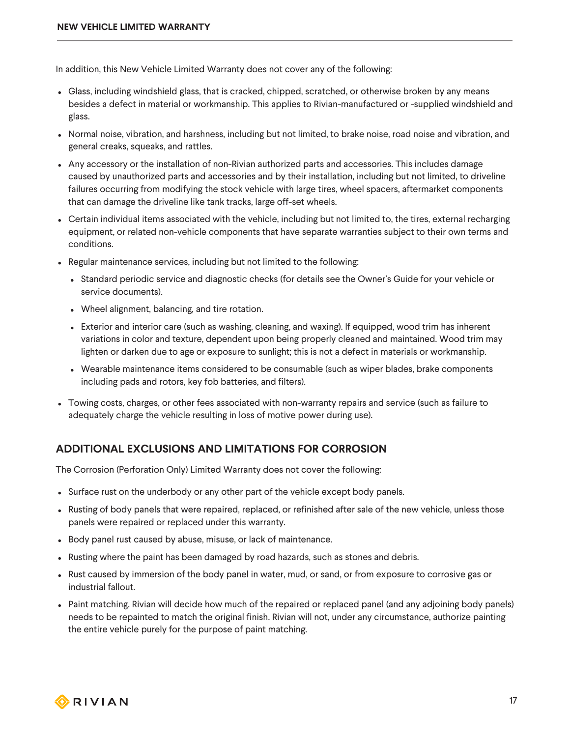In addition, this New Vehicle Limited Warranty does not cover any of the following:

- Glass, including windshield glass, that is cracked, chipped, scratched, or otherwise broken by any means besides a defect in material or workmanship. This applies to Rivian-manufactured or -supplied windshield and glass.
- Normal noise, vibration, and harshness, including but not limited, to brake noise, road noise and vibration, and general creaks, squeaks, and rattles.
- Any accessory or the installation of non-Rivian authorized parts and accessories. This includes damage caused by unauthorized parts and accessories and by their installation, including but not limited, to driveline failures occurring from modifying the stock vehicle with large tires, wheel spacers, aftermarket components that can damage the driveline like tank tracks, large off-set wheels.
- Certain individual items associated with the vehicle, including but not limited to, the tires, external recharging equipment, or related non-vehicle components that have separate warranties subject to their own terms and conditions.
- Regular maintenance services, including but not limited to the following:
	- Standard periodic service and diagnostic checks (for details see the Owner's Guide for your vehicle or service documents).
	- Wheel alignment, balancing, and tire rotation.
	- Exterior and interior care (such as washing, cleaning, and waxing). If equipped, wood trim has inherent variations in color and texture, dependent upon being properly cleaned and maintained. Wood trim may lighten or darken due to age or exposure to sunlight; this is not a defect in materials or workmanship.
	- Wearable maintenance items considered to be consumable (such as wiper blades, brake components including pads and rotors, key fob batteries, and filters).
- <sup>l</sup> Towing costs, charges, or other fees associated with non-warranty repairs and service (such as failure to adequately charge the vehicle resulting in loss of motive power during use).

#### **ADDITIONAL EXCLUSIONS AND LIMITATIONS FOR CORROSION**

The Corrosion (Perforation Only) Limited Warranty does not cover the following:

- Surface rust on the underbody or any other part of the vehicle except body panels.
- Rusting of body panels that were repaired, replaced, or refinished after sale of the new vehicle, unless those panels were repaired or replaced under this warranty.
- Body panel rust caused by abuse, misuse, or lack of maintenance.
- Rusting where the paint has been damaged by road hazards, such as stones and debris.
- Rust caused by immersion of the body panel in water, mud, or sand, or from exposure to corrosive gas or industrial fallout.
- Paint matching. Rivian will decide how much of the repaired or replaced panel (and any adjoining body panels) needs to be repainted to match the original finish. Rivian will not, under any circumstance, authorize painting the entire vehicle purely for the purpose of paint matching.

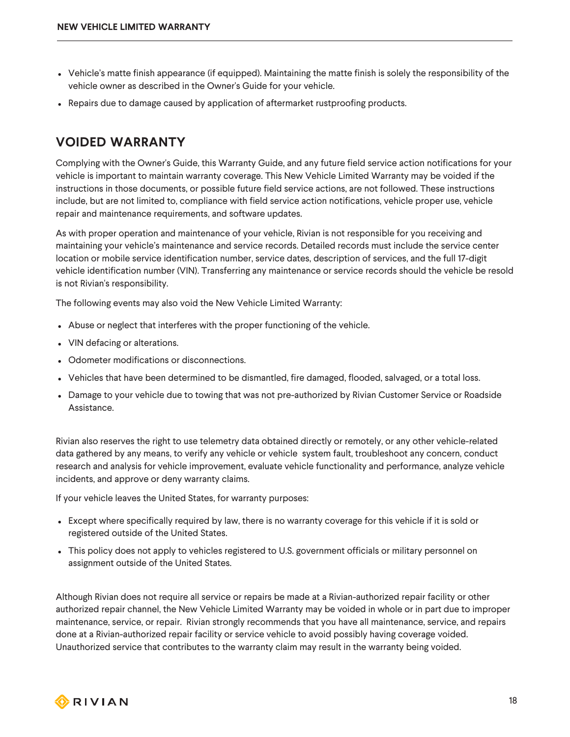- Vehicle's matte finish appearance (if equipped). Maintaining the matte finish is solely the responsibility of the vehicle owner as described in the Owner's Guide for your vehicle.
- Repairs due to damage caused by application of aftermarket rustproofing products.

#### <span id="page-17-0"></span>**VOIDED WARRANTY**

Complying with the Owner's Guide, this Warranty Guide, and any future field service action notifications for your vehicle is important to maintain warranty coverage. This New Vehicle Limited Warranty may be voided if the instructions in those documents, or possible future field service actions, are not followed. These instructions include, but are not limited to, compliance with field service action notifications, vehicle proper use, vehicle repair and maintenance requirements, and software updates.

As with proper operation and maintenance of your vehicle, Rivian is not responsible for you receiving and maintaining your vehicle's maintenance and service records. Detailed records must include the service center location or mobile service identification number, service dates, description of services, and the full 17-digit vehicle identification number (VIN). Transferring any maintenance or service records should the vehicle be resold is not Rivian's responsibility.

The following events may also void the New Vehicle Limited Warranty:

- Abuse or neglect that interferes with the proper functioning of the vehicle.
- VIN defacing or alterations.
- Odometer modifications or disconnections.
- Vehicles that have been determined to be dismantled, fire damaged, flooded, salvaged, or a total loss.
- Damage to your vehicle due to towing that was not pre-authorized by Rivian Customer Service or Roadside Assistance.

Rivian also reserves the right to use telemetry data obtained directly or remotely, or any other vehicle-related data gathered by any means, to verify any vehicle or vehicle system fault, troubleshoot any concern, conduct research and analysis for vehicle improvement, evaluate vehicle functionality and performance, analyze vehicle incidents, and approve or deny warranty claims.

If your vehicle leaves the United States, for warranty purposes:

- Except where specifically required by law, there is no warranty coverage for this vehicle if it is sold or registered outside of the United States.
- This policy does not apply to vehicles registered to U.S. government officials or military personnel on assignment outside of the United States.

Although Rivian does not require all service or repairs be made at a Rivian-authorized repair facility or other authorized repair channel, the New Vehicle Limited Warranty may be voided in whole or in part due to improper maintenance, service, or repair. Rivian strongly recommends that you have all maintenance, service, and repairs done at a Rivian-authorized repair facility or service vehicle to avoid possibly having coverage voided. Unauthorized service that contributes to the warranty claim may result in the warranty being voided.

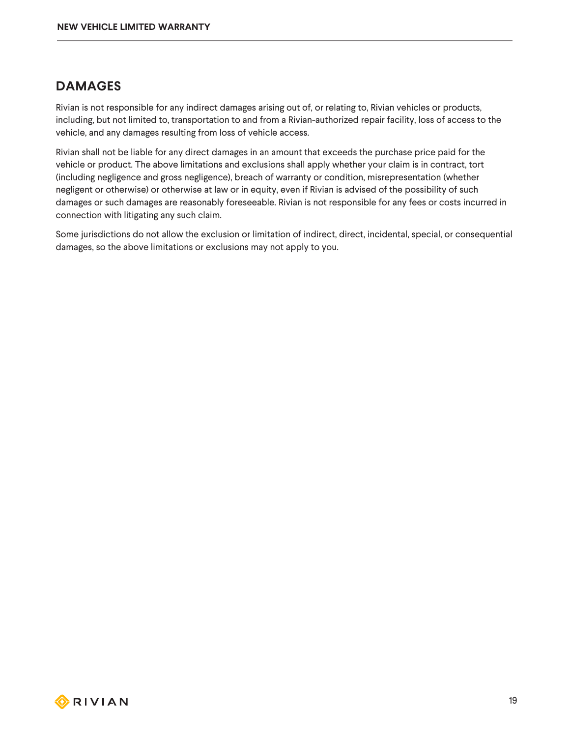#### <span id="page-18-0"></span>**DAMAGES**

Rivian is not responsible for any indirect damages arising out of, or relating to, Rivian vehicles or products, including, but not limited to, transportation to and from a Rivian-authorized repair facility, loss of access to the vehicle, and any damages resulting from loss of vehicle access.

Rivian shall not be liable for any direct damages in an amount that exceeds the purchase price paid for the vehicle or product. The above limitations and exclusions shall apply whether your claim is in contract, tort (including negligence and gross negligence), breach of warranty or condition, misrepresentation (whether negligent or otherwise) or otherwise at law or in equity, even if Rivian is advised of the possibility of such damages or such damages are reasonably foreseeable. Rivian is not responsible for any fees or costs incurred in connection with litigating any such claim.

Some jurisdictions do not allow the exclusion or limitation of indirect, direct, incidental, special, or consequential damages, so the above limitations or exclusions may not apply to you.

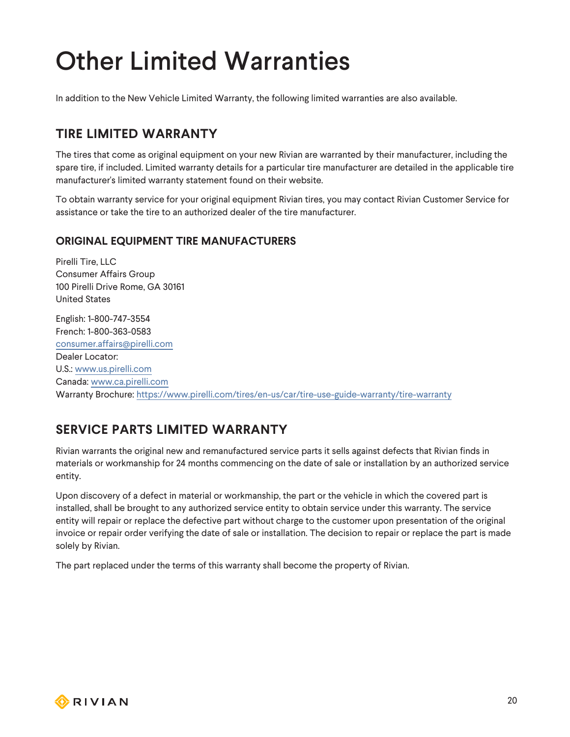# <span id="page-19-0"></span>Other Limited Warranties

In addition to the New Vehicle Limited Warranty, the following limited warranties are also available.

#### <span id="page-19-1"></span>**TIRE LIMITED WARRANTY**

The tires that come as original equipment on your new Rivian are warranted by their manufacturer, including the spare tire, if included. Limited warranty details for a particular tire manufacturer are detailed in the applicable tire manufacturer's limited warranty statement found on their website.

To obtain warranty service for your original equipment Rivian tires, you may contact Rivian Customer Service for assistance or take the tire to an authorized dealer of the tire manufacturer.

#### **ORIGINAL EQUIPMENT TIRE MANUFACTURERS**

Pirelli Tire, LLC Consumer Affairs Group 100 Pirelli Drive Rome, GA 30161 United States English: 1-800-747-3554 French: 1-800-363-0583 [consumer.affairs@pirelli.com](mailto:consumer.affairs@pirelli.com) Dealer Locator: U.S.: [www.us.pirelli.com](http://www.us.pirelli.com/) Canada: [www.ca.pirelli.com](http://www.ca.pirelli.com/) Warranty Brochure: <https://www.pirelli.com/tires/en-us/car/tire-use-guide-warranty/tire-warranty>

#### <span id="page-19-2"></span>**SERVICE PARTS LIMITED WARRANTY**

Rivian warrants the original new and remanufactured service parts it sells against defects that Rivian finds in materials or workmanship for 24 months commencing on the date of sale or installation by an authorized service entity.

Upon discovery of a defect in material or workmanship, the part or the vehicle in which the covered part is installed, shall be brought to any authorized service entity to obtain service under this warranty. The service entity will repair or replace the defective part without charge to the customer upon presentation of the original invoice or repair order verifying the date of sale or installation. The decision to repair or replace the part is made solely by Rivian.

The part replaced under the terms of this warranty shall become the property of Rivian.

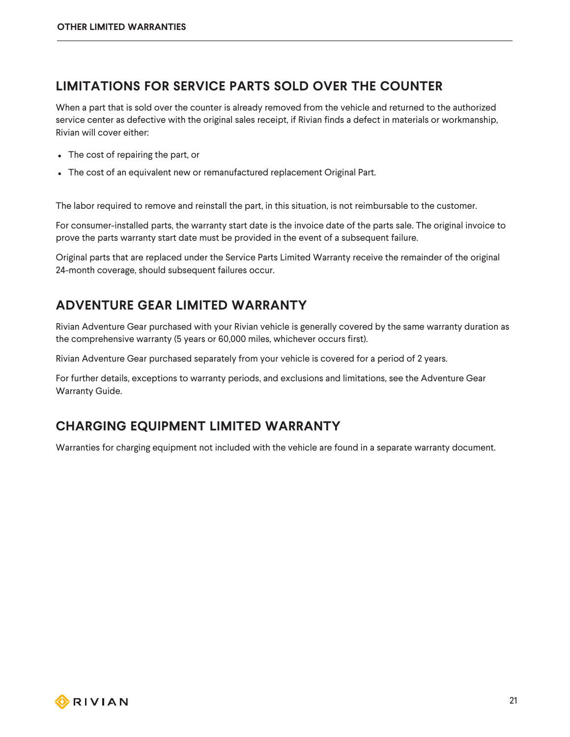#### <span id="page-20-0"></span>**LIMITATIONS FOR SERVICE PARTS SOLD OVER THE COUNTER**

When a part that is sold over the counter is already removed from the vehicle and returned to the authorized service center as defective with the original sales receipt, if Rivian finds a defect in materials or workmanship, Rivian will cover either:

- The cost of repairing the part, or
- The cost of an equivalent new or remanufactured replacement Original Part.

The labor required to remove and reinstall the part, in this situation, is not reimbursable to the customer.

For consumer-installed parts, the warranty start date is the invoice date of the parts sale. The original invoice to prove the parts warranty start date must be provided in the event of a subsequent failure.

Original parts that are replaced under the Service Parts Limited Warranty receive the remainder of the original 24-month coverage, should subsequent failures occur.

#### <span id="page-20-1"></span>**ADVENTURE GEAR LIMITED WARRANTY**

Rivian Adventure Gear purchased with your Rivian vehicle is generally covered by the same warranty duration as the comprehensive warranty (5 years or 60,000 miles, whichever occurs first).

Rivian Adventure Gear purchased separately from your vehicle is covered for a period of 2 years.

For further details, exceptions to warranty periods, and exclusions and limitations, see the Adventure Gear Warranty Guide.

#### <span id="page-20-2"></span>**CHARGING EQUIPMENT LIMITED WARRANTY**

Warranties for charging equipment not included with the vehicle are found in a separate warranty document.